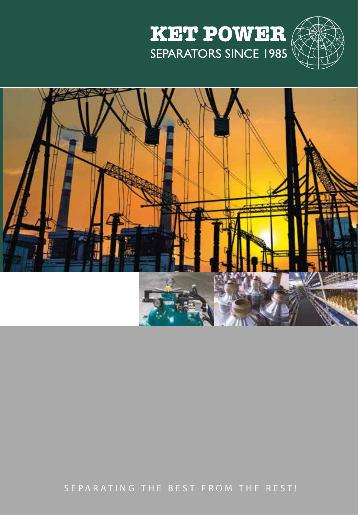



SEPARATING THE BEST FROM THE REST!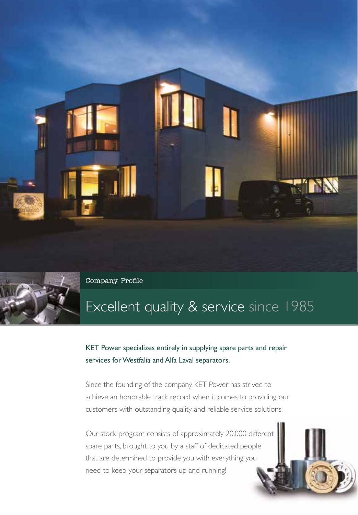



Company Profile Activities Bowls Separators Bowls Separators Bowls Separators Separators Separators Bowls Separators Separators Separators Separators Separators Separators Separators Separators Separators Separators Separa

## Excellent quality & service since 1985

KET Power specializes entirely in supplying spare parts and repair services for Westfalia and Alfa Laval separators.

Since the founding of the company, KET Power has strived to achieve an honorable track record when it comes to providing our customers with outstanding quality and reliable service solutions.

Our stock program consists of approximately 20.000 different spare parts, brought to you by a staff of dedicated people that are determined to provide you with everything you need to keep your separators up and running!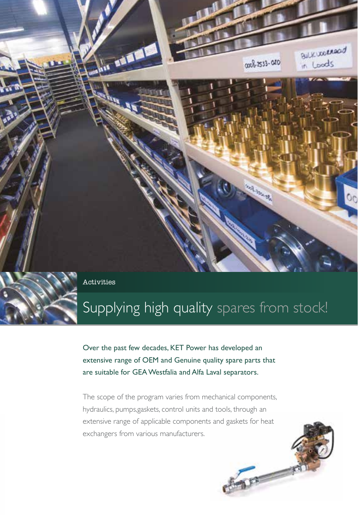

# Supplying high quality spares from stock!

Over the past few decades, KET Power has developed an extensive range of OEM and Genuine quality spare parts that are suitable for GEA Westfalia and Alfa Laval separators.

The scope of the program varies from mechanical components, hydraulics, pumps,gaskets, control units and tools, through an extensive range of applicable components and gaskets for heat exchangers from various manufacturers.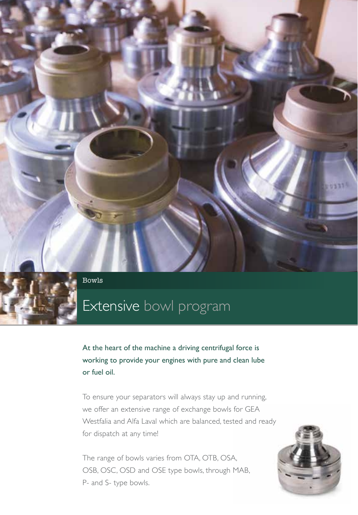

 $\Gamma$  company  $\Gamma$  Bowls  $\Gamma$  Bowls  $\Gamma$  . Bowls  $\Gamma$  ,  $\Gamma$  ,  $\Gamma$  ,  $\Gamma$  ,  $\Gamma$  ,  $\Gamma$  ,  $\Gamma$  ,  $\Gamma$  ,  $\Gamma$  ,  $\Gamma$  ,  $\Gamma$  ,  $\Gamma$  ,  $\Gamma$  ,  $\Gamma$  ,  $\Gamma$  ,  $\Gamma$  ,  $\Gamma$  ,  $\Gamma$  ,  $\Gamma$  ,  $\Gamma$  ,  $\Gamma$  ,  $\Gamma$  ,  $\Gamma$  ,  $\Gamma$  ,  $\Gamma$ 

## Extensive bowl program

At the heart of the machine a driving centrifugal force is working to provide your engines with pure and clean lube or fuel oil.

To ensure your separators will always stay up and running, we offer an extensive range of exchange bowls for GEA Westfalia and Alfa Laval which are balanced, tested and ready for dispatch at any time!

The range of bowls varies from OTA, OTB, OSA, OSB, OSC, OSD and OSE type bowls, through MAB, P- and S- type bowls.

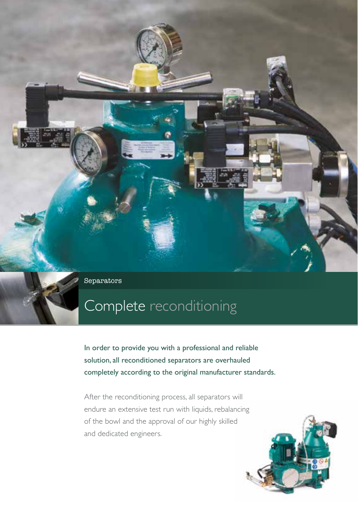Company Profile Activities Bowls Separators

## Complete reconditioning

In order to provide you with a professional and reliable solution, all reconditioned separators are overhauled completely according to the original manufacturer standards.

After the reconditioning process, all separators will endure an extensive test run with liquids, rebalancing of the bowl and the approval of our highly skilled and dedicated engineers.

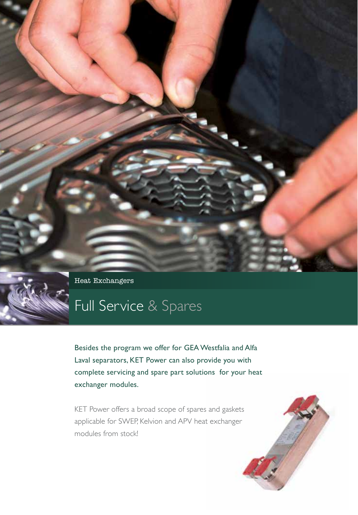Heat Exchangers

# Full Service & Spares

Besides the program we offer for GEA Westfalia and Alfa Laval separators, KET Power can also provide you with complete servicing and spare part solutions for your heat exchanger modules.

KET Power offers a broad scope of spares and gaskets applicable for SWEP, Kelvion and APV heat exchanger modules from stock!

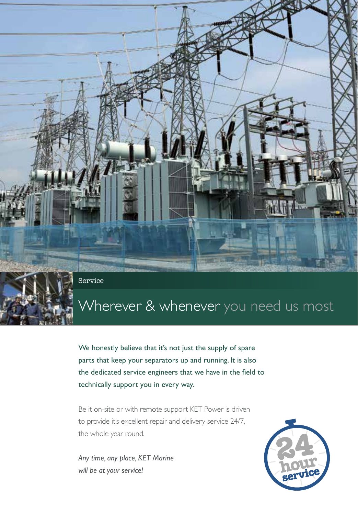Heat Exchange Exchange Service

# Wherever & whenever you need us most

We honestly believe that it's not just the supply of spare parts that keep your separators up and running. It is also the dedicated service engineers that we have in the field to technically support you in every way.

Be it on-site or with remote support KET Power is driven to provide it's excellent repair and delivery service 24/7, the whole year round.

*Any time, any place, KET Marine will be at your service!*